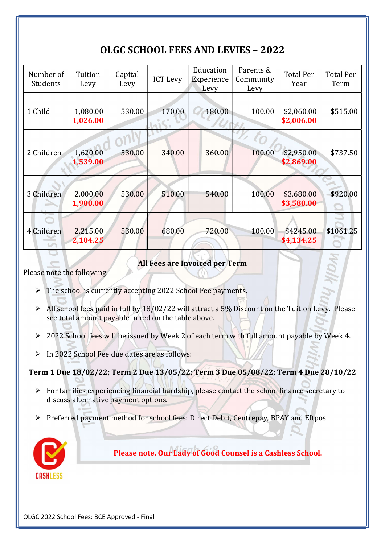## OLGC SCHOOL FEES AND LEVIES – 2022

| Number of<br>Students | Tuition<br>Levy      | Capital<br>Levy | <b>ICT Levy</b> | Education<br>Experience<br>Levy | Parents &<br>Community<br>Levy | <b>Total Per</b><br>Year | <b>Total Per</b><br>Term |
|-----------------------|----------------------|-----------------|-----------------|---------------------------------|--------------------------------|--------------------------|--------------------------|
| 1 Child               | 1,080.00<br>1,026.00 | 530.00          | 170.00          | 180.00                          | 100.00<br>$\frac{1}{2}$        | \$2,060.00<br>\$2,006.00 | \$515.00                 |
| 2 Children            | 1,620.00<br>1,539.00 | 530.00          | 340.00          | 360.00                          | 100.00                         | \$2,950.00<br>\$2,869.00 | \$737.50                 |
| 3 Children            | 2,000.00<br>1,900.00 | 530.00          | 510.00          | 540.00                          | 100.00                         | \$3,680.00<br>\$3,580.00 | \$920.00                 |
| 4 Children            | 2,215.00<br>2,104.25 | 530.00          | 680.00          | 720.00                          | 100.00                         | \$4245.00<br>\$4,134.25  | \$1061.25                |

All Fees are Invoiced per Term

Please note the following:

- $\triangleright$  The school is currently accepting 2022 School Fee payments.
- $\triangleright$  All school fees paid in full by 18/02/22 will attract a 5% Discount on the Tuition Levy. Please see total amount payable in red on the table above.
- > 2022 School fees will be issued by Week 2 of each term with full amount payable by Week 4.
- $\triangleright$  In 2022 School Fee due dates are as follows:

Term 1 Due 18/02/22; Term 2 Due 13/05/22; Term 3 Due 05/08/22; Term 4 Due 28/10/22

- $\triangleright$  For families experiencing financial hardship, please contact the school finance secretary to discuss alternative payment options.
- Preferred payment method for school fees: Direct Debit, Centrepay, BPAY and Eftpos



Please note, Our Lady of Good Counsel is a Cashless School.